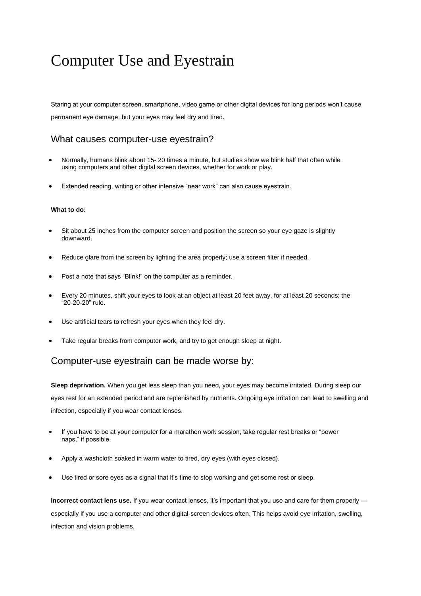## Computer Use and Eyestrain

Staring at your computer screen, smartphone, video game or other digital devices for long periods won't cause permanent eye damage, but your eyes may feel dry and tired.

## What causes computer-use eyestrain?

- Normally, humans blink about 15- 20 times a minute, but studies show we blink half that often while using computers and other digital screen devices, whether for work or play.
- Extended reading, writing or other intensive "near work" can also cause eyestrain.

## **What to do:**

- Sit about 25 inches from the computer screen and position the screen so your eye gaze is slightly downward.
- Reduce glare from the screen by lighting the area properly; use a screen filter if needed.
- Post a note that says "Blink!" on the computer as a reminder.
- Every 20 minutes, shift your eyes to look at an object at least 20 feet away, for at least 20 seconds: the "20-20-20" rule.
- Use artificial tears to refresh your eyes when they feel dry.
- Take regular breaks from computer work, and try to get enough sleep at night.

## Computer-use eyestrain can be made worse by:

**Sleep deprivation.** When you get less sleep than you need, your eyes may become irritated. During sleep our eyes rest for an extended period and are replenished by nutrients. Ongoing eye irritation can lead to swelling and infection, especially if you wear contact lenses.

- If you have to be at your computer for a marathon work session, take regular rest breaks or "power naps," if possible.
- Apply a washcloth soaked in warm water to tired, dry eyes (with eyes closed).
- Use tired or sore eyes as a signal that it's time to stop working and get some rest or sleep.

**Incorrect contact lens use.** If you wear contact lenses, it's important that you use and care for them properly especially if you use a computer and other digital-screen devices often. This helps avoid eye irritation, swelling, infection and vision problems.